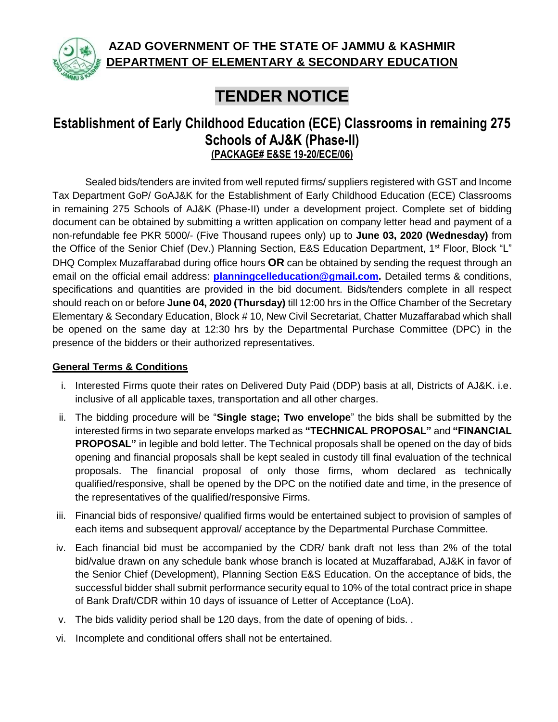

**AZAD GOVERNMENT OF THE STATE OF JAMMU & KASHMIR DEPARTMENT OF ELEMENTARY & SECONDARY EDUCATION** 

## **TENDER NOTICE**

## **Establishment of Early Childhood Education (ECE) Classrooms in remaining 275 Schools of AJ&K (Phase-II) (PACKAGE# E&SE 19-20/ECE/06)**

Sealed bids/tenders are invited from well reputed firms/ suppliers registered with GST and Income Tax Department GoP/ GoAJ&K for the Establishment of Early Childhood Education (ECE) Classrooms in remaining 275 Schools of AJ&K (Phase-II) under a development project. Complete set of bidding document can be obtained by submitting a written application on company letter head and payment of a non-refundable fee PKR 5000/- (Five Thousand rupees only) up to **June 03, 2020 (Wednesday)** from the Office of the Senior Chief (Dev.) Planning Section, E&S Education Department, 1st Floor, Block "L" DHQ Complex Muzaffarabad during office hours **OR** can be obtained by sending the request through an email on the official email address: **[planningcelleducation@gmail.com.](mailto:planningcelleducation@gmail.com)** Detailed terms & conditions, specifications and quantities are provided in the bid document. Bids/tenders complete in all respect should reach on or before **June 04, 2020 (Thursday)** till 12:00 hrs in the Office Chamber of the Secretary Elementary & Secondary Education, Block # 10, New Civil Secretariat, Chatter Muzaffarabad which shall be opened on the same day at 12:30 hrs by the Departmental Purchase Committee (DPC) in the presence of the bidders or their authorized representatives.

## **General Terms & Conditions**

- i. Interested Firms quote their rates on Delivered Duty Paid (DDP) basis at all, Districts of AJ&K. i.e. inclusive of all applicable taxes, transportation and all other charges.
- ii. The bidding procedure will be "**Single stage; Two envelope**" the bids shall be submitted by the interested firms in two separate envelops marked as **"TECHNICAL PROPOSAL"** and **"FINANCIAL PROPOSAL"** in legible and bold letter. The Technical proposals shall be opened on the day of bids opening and financial proposals shall be kept sealed in custody till final evaluation of the technical proposals. The financial proposal of only those firms, whom declared as technically qualified/responsive, shall be opened by the DPC on the notified date and time, in the presence of the representatives of the qualified/responsive Firms.
- iii. Financial bids of responsive/ qualified firms would be entertained subject to provision of samples of each items and subsequent approval/ acceptance by the Departmental Purchase Committee.
- iv. Each financial bid must be accompanied by the CDR/ bank draft not less than 2% of the total bid/value drawn on any schedule bank whose branch is located at Muzaffarabad, AJ&K in favor of the Senior Chief (Development), Planning Section E&S Education. On the acceptance of bids, the successful bidder shall submit performance security equal to 10% of the total contract price in shape of Bank Draft/CDR within 10 days of issuance of Letter of Acceptance (LoA).
- v. The bids validity period shall be 120 days, from the date of opening of bids. .
- vi. Incomplete and conditional offers shall not be entertained.